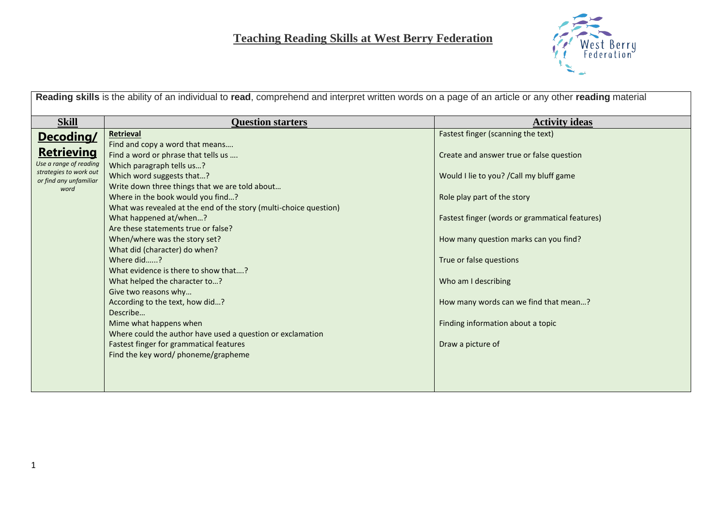

| Reading skills is the ability of an individual to read, comprehend and interpret written words on a page of an article or any other reading material |                                                                                                                                                                                                                                                                                                                                                                                                                                                                                                                                                                                                                                                                                                                                                                                                                  |                                                                                                                                                                                                                                                                                                                                                                                                                                    |  |  |
|------------------------------------------------------------------------------------------------------------------------------------------------------|------------------------------------------------------------------------------------------------------------------------------------------------------------------------------------------------------------------------------------------------------------------------------------------------------------------------------------------------------------------------------------------------------------------------------------------------------------------------------------------------------------------------------------------------------------------------------------------------------------------------------------------------------------------------------------------------------------------------------------------------------------------------------------------------------------------|------------------------------------------------------------------------------------------------------------------------------------------------------------------------------------------------------------------------------------------------------------------------------------------------------------------------------------------------------------------------------------------------------------------------------------|--|--|
|                                                                                                                                                      |                                                                                                                                                                                                                                                                                                                                                                                                                                                                                                                                                                                                                                                                                                                                                                                                                  |                                                                                                                                                                                                                                                                                                                                                                                                                                    |  |  |
| <b>Skill</b><br>Decoding/<br><b>Retrieving</b><br>Use a range of reading<br>strategies to work out<br>or find any unfamiliar<br>word                 | <b>Question starters</b><br>Retrieval<br>Find and copy a word that means<br>Find a word or phrase that tells us<br>Which paragraph tells us?<br>Which word suggests that?<br>Write down three things that we are told about<br>Where in the book would you find?<br>What was revealed at the end of the story (multi-choice question)<br>What happened at/when?<br>Are these statements true or false?<br>When/where was the story set?<br>What did (character) do when?<br>Where did?<br>What evidence is there to show that?<br>What helped the character to?<br>Give two reasons why<br>According to the text, how did?<br>Describe<br>Mime what happens when<br>Where could the author have used a question or exclamation<br>Fastest finger for grammatical features<br>Find the key word/ phoneme/grapheme | <b>Activity ideas</b><br>Fastest finger (scanning the text)<br>Create and answer true or false question<br>Would I lie to you? / Call my bluff game<br>Role play part of the story<br>Fastest finger (words or grammatical features)<br>How many question marks can you find?<br>True or false questions<br>Who am I describing<br>How many words can we find that mean?<br>Finding information about a topic<br>Draw a picture of |  |  |
|                                                                                                                                                      |                                                                                                                                                                                                                                                                                                                                                                                                                                                                                                                                                                                                                                                                                                                                                                                                                  |                                                                                                                                                                                                                                                                                                                                                                                                                                    |  |  |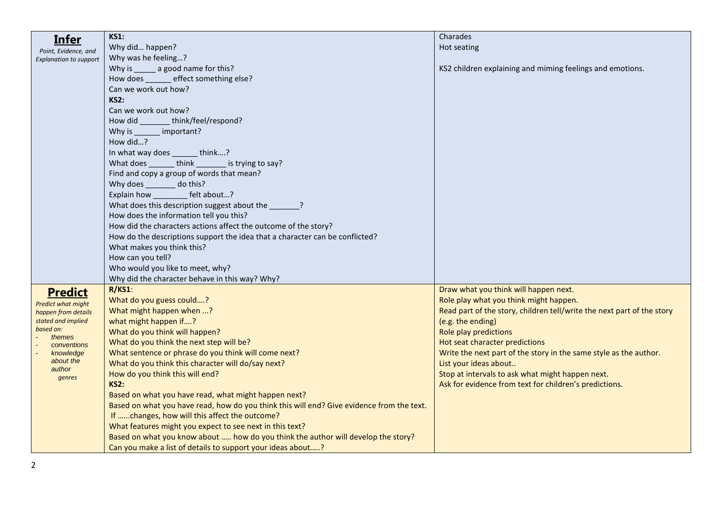| <u>Infer</u>                  | <b>KS1:</b>                                                                               | Charades                                                               |
|-------------------------------|-------------------------------------------------------------------------------------------|------------------------------------------------------------------------|
| Point, Evidence, and          | Why did happen?                                                                           | Hot seating                                                            |
| <b>Explanation to support</b> | Why was he feeling?                                                                       |                                                                        |
|                               | Why is ______ a good name for this?                                                       | KS2 children explaining and miming feelings and emotions.              |
|                               | How does ______ effect something else?                                                    |                                                                        |
|                               | Can we work out how?                                                                      |                                                                        |
|                               | <b>KS2:</b>                                                                               |                                                                        |
|                               | Can we work out how?                                                                      |                                                                        |
|                               | think/feel/respond?<br>How did                                                            |                                                                        |
|                               | important?<br>Why is                                                                      |                                                                        |
|                               | How did?                                                                                  |                                                                        |
|                               | In what way does ______ think?                                                            |                                                                        |
|                               | What does _______ think _______ is trying to say?                                         |                                                                        |
|                               | Find and copy a group of words that mean?                                                 |                                                                        |
|                               | Why does _______ do this?                                                                 |                                                                        |
|                               | Explain how __________ felt about?                                                        |                                                                        |
|                               | What does this description suggest about the _______?                                     |                                                                        |
|                               | How does the information tell you this?                                                   |                                                                        |
|                               | How did the characters actions affect the outcome of the story?                           |                                                                        |
|                               | How do the descriptions support the idea that a character can be conflicted?              |                                                                        |
|                               | What makes you think this?                                                                |                                                                        |
|                               | How can you tell?                                                                         |                                                                        |
|                               | Who would you like to meet, why?                                                          |                                                                        |
|                               | Why did the character behave in this way? Why?                                            |                                                                        |
| <b>Predict</b>                | $R/KS1$ :                                                                                 | Draw what you think will happen next.                                  |
| <b>Predict what might</b>     | What do you guess could?                                                                  | Role play what you think might happen.                                 |
| happen from details           | What might happen when ?                                                                  | Read part of the story, children tell/write the next part of the story |
| stated and implied            | what might happen if?                                                                     | (e.g. the ending)                                                      |
| based on:<br>themes           | What do you think will happen?                                                            | Role play predictions                                                  |
| conventions                   | What do you think the next step will be?                                                  | Hot seat character predictions                                         |
| knowledge                     | What sentence or phrase do you think will come next?                                      | Write the next part of the story in the same style as the author.      |
| about the<br>author           | What do you think this character will do/say next?                                        | List your ideas about                                                  |
| genres                        | How do you think this will end?                                                           | Stop at intervals to ask what might happen next.                       |
|                               | <b>KS2:</b>                                                                               | Ask for evidence from text for children's predictions.                 |
|                               | Based on what you have read, what might happen next?                                      |                                                                        |
|                               | Based on what you have read, how do you think this will end? Give evidence from the text. |                                                                        |
|                               | If changes, how will this affect the outcome?                                             |                                                                        |
|                               | What features might you expect to see next in this text?                                  |                                                                        |
|                               | Based on what you know about  how do you think the author will develop the story?         |                                                                        |
|                               | Can you make a list of details to support your ideas about?                               |                                                                        |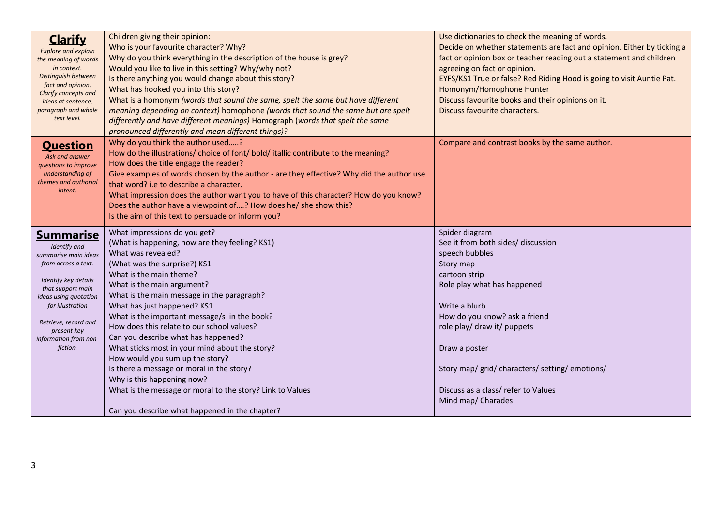| <b>Clarify</b><br><b>Explore and explain</b><br>the meaning of words<br>in context.<br>Distinguish between<br>fact and opinion.<br>Clarify concepts and<br>ideas at sentence,<br>paragraph and whole<br>text level.                                   | Children giving their opinion:<br>Who is your favourite character? Why?<br>Why do you think everything in the description of the house is grey?<br>Would you like to live in this setting? Why/why not?<br>Is there anything you would change about this story?<br>What has hooked you into this story?<br>What is a homonym (words that sound the same, spelt the same but have different<br>meaning depending on context) homophone (words that sound the same but are spelt<br>differently and have different meanings) Homograph (words that spelt the same<br>pronounced differently and mean different things)?                                                                          | Use dictionaries to check the meaning of words.<br>Decide on whether statements are fact and opinion. Either by ticking a<br>fact or opinion box or teacher reading out a statement and children<br>agreeing on fact or opinion.<br>EYFS/KS1 True or false? Red Riding Hood is going to visit Auntie Pat.<br>Homonym/Homophone Hunter<br>Discuss favourite books and their opinions on it.<br>Discuss favourite characters. |
|-------------------------------------------------------------------------------------------------------------------------------------------------------------------------------------------------------------------------------------------------------|------------------------------------------------------------------------------------------------------------------------------------------------------------------------------------------------------------------------------------------------------------------------------------------------------------------------------------------------------------------------------------------------------------------------------------------------------------------------------------------------------------------------------------------------------------------------------------------------------------------------------------------------------------------------------------------------|-----------------------------------------------------------------------------------------------------------------------------------------------------------------------------------------------------------------------------------------------------------------------------------------------------------------------------------------------------------------------------------------------------------------------------|
| <b>Question</b><br>Ask and answer<br>questions to improve<br>understanding of<br>themes and authorial<br>intent.                                                                                                                                      | Why do you think the author used?<br>How do the illustrations/choice of font/bold/itallic contribute to the meaning?<br>How does the title engage the reader?<br>Give examples of words chosen by the author - are they effective? Why did the author use<br>that word? i.e to describe a character.<br>What impression does the author want you to have of this character? How do you know?<br>Does the author have a viewpoint of? How does he/ she show this?<br>Is the aim of this text to persuade or inform you?                                                                                                                                                                         | Compare and contrast books by the same author.                                                                                                                                                                                                                                                                                                                                                                              |
| <u>Summarise</u><br>Identify and<br>summarise main ideas<br>from across a text.<br>Identify key details<br>that support main<br>ideas using quotation<br>for illustration<br>Retrieve, record and<br>present key<br>information from non-<br>fiction. | What impressions do you get?<br>(What is happening, how are they feeling? KS1)<br>What was revealed?<br>(What was the surprise?) KS1<br>What is the main theme?<br>What is the main argument?<br>What is the main message in the paragraph?<br>What has just happened? KS1<br>What is the important message/s in the book?<br>How does this relate to our school values?<br>Can you describe what has happened?<br>What sticks most in your mind about the story?<br>How would you sum up the story?<br>Is there a message or moral in the story?<br>Why is this happening now?<br>What is the message or moral to the story? Link to Values<br>Can you describe what happened in the chapter? | Spider diagram<br>See it from both sides/ discussion<br>speech bubbles<br>Story map<br>cartoon strip<br>Role play what has happened<br>Write a blurb<br>How do you know? ask a friend<br>role play/ draw it/ puppets<br>Draw a poster<br>Story map/ grid/ characters/ setting/ emotions/<br>Discuss as a class/ refer to Values<br>Mind map/ Charades                                                                       |